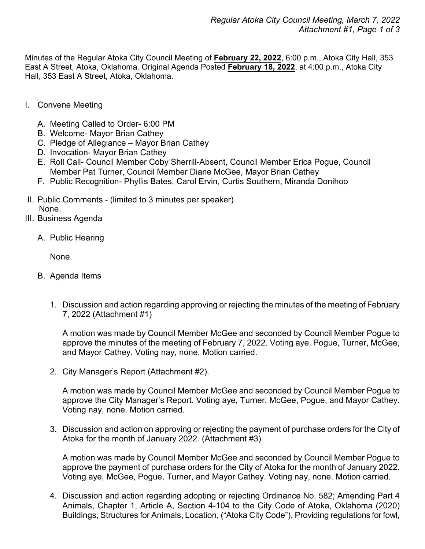Minutes of the Regular Atoka City Council Meeting of **February 22, 2022**, 6:00 p.m., Atoka City Hall, 353 East A Street, Atoka, Oklahoma. Original Agenda Posted **February 18, 2022**, at 4:00 p.m., Atoka City Hall, 353 East A Street, Atoka, Oklahoma.

- I. Convene Meeting
	- A. Meeting Called to Order- 6:00 PM
	- B. Welcome- Mayor Brian Cathey
	- C. Pledge of Allegiance Mayor Brian Cathey
	- D. Invocation- Mayor Brian Cathey
	- E. Roll Call- Council Member Coby Sherrill-Absent, Council Member Erica Pogue, Council Member Pat Turner, Council Member Diane McGee, Mayor Brian Cathey
	- F. Public Recognition- Phyllis Bates, Carol Ervin, Curtis Southern, Miranda Donihoo
- II. Public Comments (limited to 3 minutes per speaker) None.
- III. Business Agenda
	- A. Public Hearing

None.

- B. Agenda Items
	- 1. Discussion and action regarding approving or rejecting the minutes of the meeting of February 7, 2022 (Attachment #1)

A motion was made by Council Member McGee and seconded by Council Member Pogue to approve the minutes of the meeting of February 7, 2022. Voting aye, Pogue, Turner, McGee, and Mayor Cathey. Voting nay, none. Motion carried.

2. City Manager's Report (Attachment #2).

A motion was made by Council Member McGee and seconded by Council Member Pogue to approve the City Manager's Report. Voting aye, Turner, McGee, Pogue, and Mayor Cathey. Voting nay, none. Motion carried.

3. Discussion and action on approving or rejecting the payment of purchase orders for the City of Atoka for the month of January 2022. (Attachment #3)

A motion was made by Council Member McGee and seconded by Council Member Pogue to approve the payment of purchase orders for the City of Atoka for the month of January 2022. Voting aye, McGee, Pogue, Turner, and Mayor Cathey. Voting nay, none. Motion carried.

4. Discussion and action regarding adopting or rejecting Ordinance No. 582; Amending Part 4 Animals, Chapter 1, Article A, Section 4-104 to the City Code of Atoka, Oklahoma (2020) Buildings, Structures for Animals, Location, ("Atoka City Code"), Providing regulations for fowl,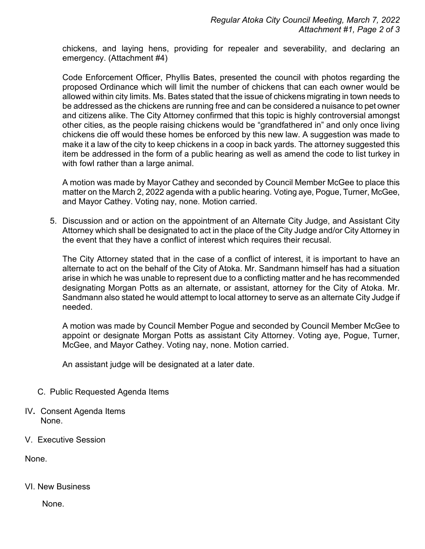chickens, and laying hens, providing for repealer and severability, and declaring an emergency. (Attachment #4)

Code Enforcement Officer, Phyllis Bates, presented the council with photos regarding the proposed Ordinance which will limit the number of chickens that can each owner would be allowed within city limits. Ms. Bates stated that the issue of chickens migrating in town needs to be addressed as the chickens are running free and can be considered a nuisance to pet owner and citizens alike. The City Attorney confirmed that this topic is highly controversial amongst other cities, as the people raising chickens would be "grandfathered in" and only once living chickens die off would these homes be enforced by this new law. A suggestion was made to make it a law of the city to keep chickens in a coop in back yards. The attorney suggested this item be addressed in the form of a public hearing as well as amend the code to list turkey in with fowl rather than a large animal.

A motion was made by Mayor Cathey and seconded by Council Member McGee to place this matter on the March 2, 2022 agenda with a public hearing. Voting aye, Pogue, Turner, McGee, and Mayor Cathey. Voting nay, none. Motion carried.

5. Discussion and or action on the appointment of an Alternate City Judge, and Assistant City Attorney which shall be designated to act in the place of the City Judge and/or City Attorney in the event that they have a conflict of interest which requires their recusal.

The City Attorney stated that in the case of a conflict of interest, it is important to have an alternate to act on the behalf of the City of Atoka. Mr. Sandmann himself has had a situation arise in which he was unable to represent due to a conflicting matter and he has recommended designating Morgan Potts as an alternate, or assistant, attorney for the City of Atoka. Mr. Sandmann also stated he would attempt to local attorney to serve as an alternate City Judge if needed.

A motion was made by Council Member Pogue and seconded by Council Member McGee to appoint or designate Morgan Potts as assistant City Attorney. Voting aye, Pogue, Turner, McGee, and Mayor Cathey. Voting nay, none. Motion carried.

An assistant judge will be designated at a later date.

- C. Public Requested Agenda Items
- IV**.** Consent Agenda Items None.
- V. Executive Session

None.

## VI. New Business

None.